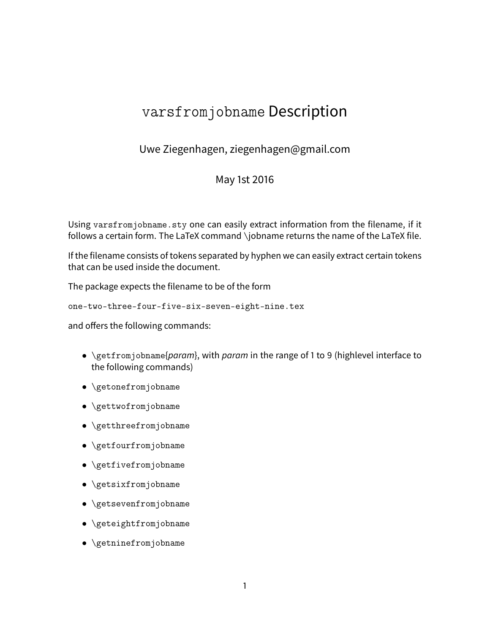## varsfromjobname Description

Uwe Ziegenhagen, ziegenhagen@gmail.com

## May 1st 2016

Using varsfromjobname.sty one can easily extract information from the filename, if it follows a certain form. The LaTeX command \jobname returns the name of the LaTeX file.

If the filename consists of tokens separated by hyphen we can easily extract certain tokens that can be used inside the document.

The package expects the filename to be of the form

one-two-three-four-five-six-seven-eight-nine.tex

and offers the following commands:

- \getfromjobname{param}, with param in the range of 1 to 9 (highlevel interface to the following commands)
- \getonefromjobname
- \gettwofromjobname
- \getthreefromjobname
- \getfourfromjobname
- \getfivefromjobname
- \getsixfromjobname
- \getsevenfromjobname
- \geteightfromjobname
- \getninefromjobname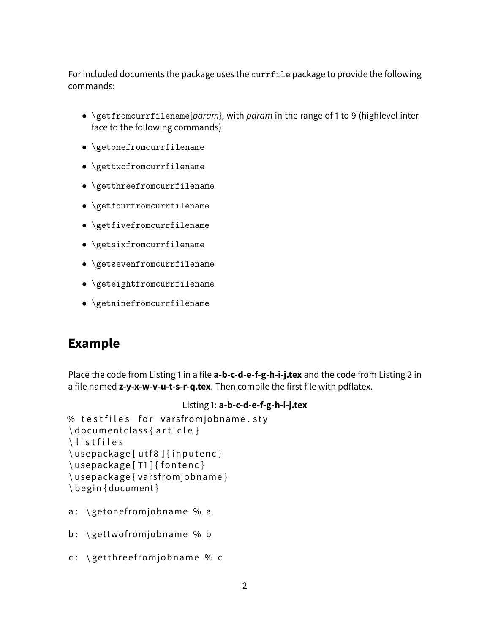For included documents the package uses the currfile package to provide the following commands:

- \getfromcurrfilename{param}, with param in the range of 1 to 9 (highlevel interface to the following commands)
- \getonefromcurrfilename
- \gettwofromcurrfilename
- \getthreefromcurrfilename
- \getfourfromcurrfilename
- \getfivefromcurrfilename
- \getsixfromcurrfilename
- \getsevenfromcurrfilename
- \geteightfromcurrfilename
- \getninefromcurrfilename

## **Example**

Place the code from Listing 1 in a file **a-b-c-d-e-f-g-h-i-j.tex** and the code from Listing 2 in a file named **z-y-x-w-v-u-t-s-r-q.tex**. Then compile the first file with pdflatex.

```
Listing 1: a-b-c-d-e-f-g-h-i-j.tex
% testfiles for varsfromjobname.stv
\documentclass { article }
\listfiles
\usepackage [ utf8 ] { inputenc }
\{ usepackage [ T1 ] { fontenc }
\usepackage { varsfromjobname }
\ be gin { document }
```
- a:  $\getonefrom jobname % a$
- b:  $\setminus$  gettwofromjobname % b
- c:  $\left\{$  getth reef romjobname % c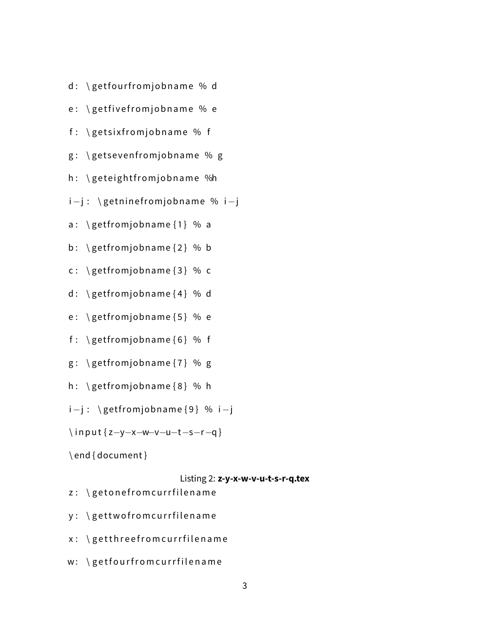- d: \getfourfromjobname % d
- e: \getfivefromjobname % e
- f:  $\left\{ g\in K : \mathcal{A} \right\}$  getsix from job name % f
- g: \getsevenfromjobname % g
- h: \geteightfromjobname %h
- i-j : \getninefromjobname % i-j
- a:  $\get from job name {1} % a$
- b:  $\get from job name {2} % b$
- c:  $\get from jobname {3} % c$
- d:  $\get from jobname {4} % d$
- e:  $\get from jobname {5} % e$
- f:  $\get from jobname {6} % f$
- $g: \ \$ getfromjobname $\{7\}$  % g
- h:  $\get from job name  $\{8\}$  % h$
- i−j : \getfromjobname {9} % i−j
- \ i n p u t { z−y−x−w−v−u−t−s−r−q }
- \ end { document }
- Listing 2: **z-y-x-w-v-u-t-s-r-q.tex**
- z: \getonefromcurrfilename
- y: \gettwofromcurrfilename
- x: \getthreefromcurrfilename
- w: \getfourfromcurrfilename